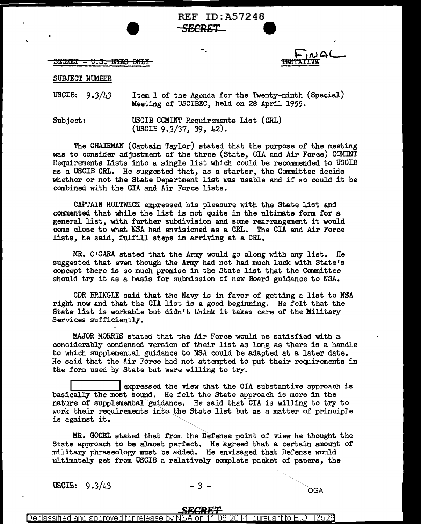REF ID:A57248 **S£CRET 9** 

SECRET <del>- U.S. EYES ONLY</del>

SUBJECT NUMBER

USCIB:  $9.3/43$ Item 1 of the Agenda for the Twenty-ninth (Special) Meeting of USCIBEC, held on 2S April 1955.

Subject: USCIB COMINT Requirements List (CRL) (USCIB 9.3/37, 39, 42).

The CHAIRMAN (Captain Taylor) stated that the purpose of the meeting was to consider adjustment of the three (State, CIA and Air Force) COMINT Requirements Lists into a single list which could be recommended to USCIB as a USCIB CRL. He suggested that, as a starter, the Committee decide whether or not the State Department list was usable and if so could it be combined with the CIA and Air Force lists.

CAPTAIN HOLTWICK expressed his pleasure with the State list and commented that while the list is not quite in the ultimate form for a general list, with further subdivision and some rearrangement it would come close to what NSA had envisioned as a CRL. The CIA and Air Force lists, he said, fulfill steps in arriving at a CRL.

MR. 0 <sup>1</sup>GARA stated that the Army would go along with any list. He suggested that even though the Army had not had much luck with State's concept there is so much promise in the State list that the Committee should try it as a hasis for submission of new Board guidance to NSA.

CDR BRINGLE said that the Navy is in favor of getting a list to NSA right now and that the CIA list is a good beginning. He felt that the State list is workable but didn't think it takes care of the Military Services sufficiently.

MAJOR MORRIS stated that the Air Force would be satisfied with a considerably condensed version of their list as long as there is a handle to which supplemental guidance to NSA could be adapted at a later date. He said that the Air Force had not attempted to put their requirements in the form used by State but were willing to try.

expressed the view that the CIA substantive approach is basically the most sound. He felt the State approach is more in the nature of supplemental guidance. He said that CIA is willing to try to work their requirements into the State list but as a matter of principle is against it.

MR. GODEL stated that from the Defense point of view he thought the State approach to be almost perfect. He agreed that a certain amount of military phraseology must be added. He envisaged that Defense would ultimately get from USCIB a relatively complete packet of papers, the

USCIB:  $9.3/43$  -  $3-$  OGA

Declassified and approved for release by NSA on 11-06-2014  $\,$  pursuant to E.O.  $\,$